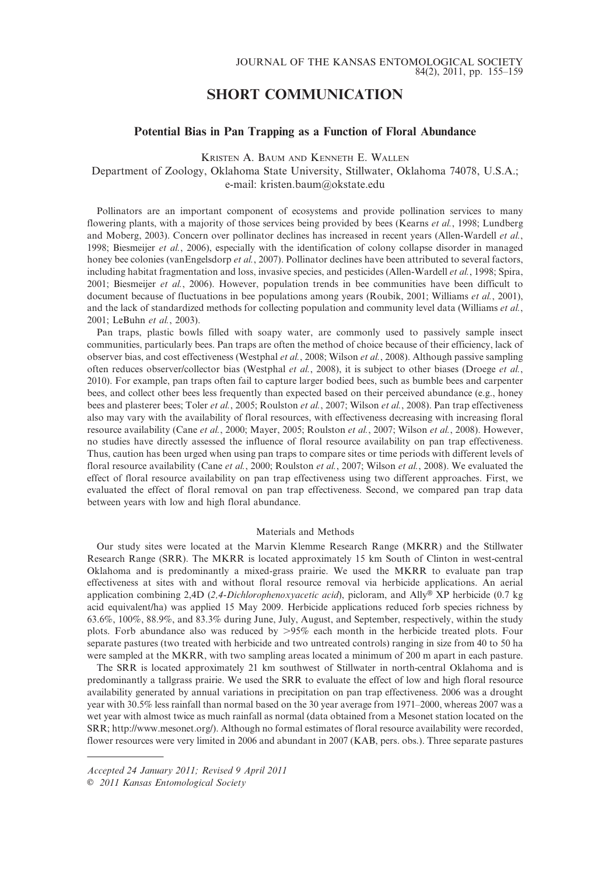# SHORT COMMUNICATION

## Potential Bias in Pan Trapping as a Function of Floral Abundance

KRISTEN A. BAUM AND KENNETH E. WALLEN

Department of Zoology, Oklahoma State University, Stillwater, Oklahoma 74078, U.S.A.; e-mail: kristen.baum@okstate.edu

Pollinators are an important component of ecosystems and provide pollination services to many flowering plants, with a majority of those services being provided by bees (Kearns et al., 1998; Lundberg and Moberg, 2003). Concern over pollinator declines has increased in recent years (Allen-Wardell et al., 1998; Biesmeijer et al., 2006), especially with the identification of colony collapse disorder in managed honey bee colonies (vanEngelsdorp et al., 2007). Pollinator declines have been attributed to several factors, including habitat fragmentation and loss, invasive species, and pesticides (Allen-Wardell et al., 1998; Spira, 2001; Biesmeijer et al., 2006). However, population trends in bee communities have been difficult to document because of fluctuations in bee populations among years (Roubik, 2001; Williams et al., 2001), and the lack of standardized methods for collecting population and community level data (Williams et al., 2001; LeBuhn et al., 2003).

Pan traps, plastic bowls filled with soapy water, are commonly used to passively sample insect communities, particularly bees. Pan traps are often the method of choice because of their efficiency, lack of observer bias, and cost effectiveness (Westphal et al., 2008; Wilson et al., 2008). Although passive sampling often reduces observer/collector bias (Westphal et al., 2008), it is subject to other biases (Droege et al., 2010). For example, pan traps often fail to capture larger bodied bees, such as bumble bees and carpenter bees, and collect other bees less frequently than expected based on their perceived abundance (e.g., honey bees and plasterer bees; Toler et al., 2005; Roulston et al., 2007; Wilson et al., 2008). Pan trap effectiveness also may vary with the availability of floral resources, with effectiveness decreasing with increasing floral resource availability (Cane et al., 2000; Mayer, 2005; Roulston et al., 2007; Wilson et al., 2008). However, no studies have directly assessed the influence of floral resource availability on pan trap effectiveness. Thus, caution has been urged when using pan traps to compare sites or time periods with different levels of floral resource availability (Cane et al., 2000; Roulston et al., 2007; Wilson et al., 2008). We evaluated the effect of floral resource availability on pan trap effectiveness using two different approaches. First, we evaluated the effect of floral removal on pan trap effectiveness. Second, we compared pan trap data between years with low and high floral abundance.

## Materials and Methods

Our study sites were located at the Marvin Klemme Research Range (MKRR) and the Stillwater Research Range (SRR). The MKRR is located approximately 15 km South of Clinton in west-central Oklahoma and is predominantly a mixed-grass prairie. We used the MKRR to evaluate pan trap effectiveness at sites with and without floral resource removal via herbicide applications. An aerial application combining 2,4D (2,4-Dichlorophenoxyacetic acid), picloram, and Ally<sup>®</sup> XP herbicide (0.7 kg acid equivalent/ha) was applied 15 May 2009. Herbicide applications reduced forb species richness by 63.6%, 100%, 88.9%, and 83.3% during June, July, August, and September, respectively, within the study plots. Forb abundance also was reduced by >95% each month in the herbicide treated plots. Four separate pastures (two treated with herbicide and two untreated controls) ranging in size from 40 to 50 ha were sampled at the MKRR, with two sampling areas located a minimum of 200 m apart in each pasture.

The SRR is located approximately 21 km southwest of Stillwater in north-central Oklahoma and is predominantly a tallgrass prairie. We used the SRR to evaluate the effect of low and high floral resource availability generated by annual variations in precipitation on pan trap effectiveness. 2006 was a drought year with 30.5% less rainfall than normal based on the 30 year average from 1971–2000, whereas 2007 was a wet year with almost twice as much rainfall as normal (data obtained from a Mesonet station located on the SRR; http://www.mesonet.org/). Although no formal estimates of floral resource availability were recorded, flower resources were very limited in 2006 and abundant in 2007 (KAB, pers. obs.). Three separate pastures

Accepted 24 January 2011; Revised 9 April 2011

E 2011 Kansas Entomological Society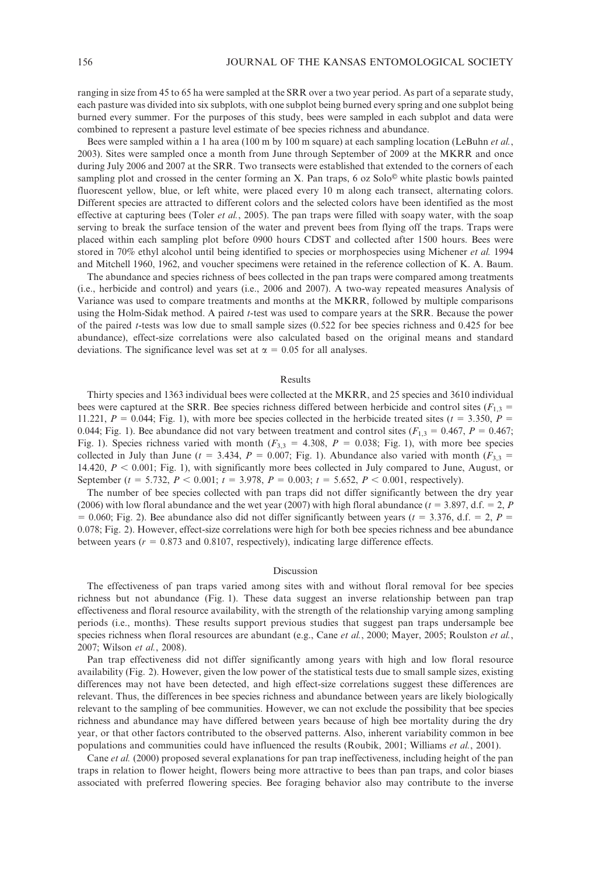ranging in size from 45 to 65 ha were sampled at the SRR over a two year period. As part of a separate study, each pasture was divided into six subplots, with one subplot being burned every spring and one subplot being burned every summer. For the purposes of this study, bees were sampled in each subplot and data were combined to represent a pasture level estimate of bee species richness and abundance.

Bees were sampled within a 1 ha area (100 m by 100 m square) at each sampling location (LeBuhn *et al.*, 2003). Sites were sampled once a month from June through September of 2009 at the MKRR and once during July 2006 and 2007 at the SRR. Two transects were established that extended to the corners of each sampling plot and crossed in the center forming an X. Pan traps,  $6$  oz Solo $^{\circ}$  white plastic bowls painted fluorescent yellow, blue, or left white, were placed every 10 m along each transect, alternating colors. Different species are attracted to different colors and the selected colors have been identified as the most effective at capturing bees (Toler *et al.*, 2005). The pan traps were filled with soapy water, with the soap serving to break the surface tension of the water and prevent bees from flying off the traps. Traps were placed within each sampling plot before 0900 hours CDST and collected after 1500 hours. Bees were stored in 70% ethyl alcohol until being identified to species or morphospecies using Michener et al. 1994 and Mitchell 1960, 1962, and voucher specimens were retained in the reference collection of K. A. Baum.

The abundance and species richness of bees collected in the pan traps were compared among treatments (i.e., herbicide and control) and years (i.e., 2006 and 2007). A two-way repeated measures Analysis of Variance was used to compare treatments and months at the MKRR, followed by multiple comparisons using the Holm-Sidak method. A paired t-test was used to compare years at the SRR. Because the power of the paired t-tests was low due to small sample sizes (0.522 for bee species richness and 0.425 for bee abundance), effect-size correlations were also calculated based on the original means and standard deviations. The significance level was set at  $\alpha = 0.05$  for all analyses.

### Results

Thirty species and 1363 individual bees were collected at the MKRR, and 25 species and 3610 individual bees were captured at the SRR. Bee species richness differed between herbicide and control sites ( $F_{1,3}$  = 11.221,  $P = 0.044$ ; Fig. 1), with more bee species collected in the herbicide treated sites (t = 3.350, P = 0.044; Fig. 1). Bee abundance did not vary between treatment and control sites ( $F_{1,3} = 0.467$ ,  $P = 0.467$ ; Fig. 1). Species richness varied with month ( $F_{3,3} = 4.308$ ,  $P = 0.038$ ; Fig. 1), with more bee species collected in July than June (t = 3.434,  $P = 0.007$ ; Fig. 1). Abundance also varied with month ( $F_{3,3} =$ 14.420,  $P < 0.001$ ; Fig. 1), with significantly more bees collected in July compared to June, August, or September (t = 5.732,  $P < 0.001$ ; t = 3.978,  $P = 0.003$ ; t = 5.652,  $P < 0.001$ , respectively).

The number of bee species collected with pan traps did not differ significantly between the dry year (2006) with low floral abundance and the wet year (2007) with high floral abundance ( $t = 3.897$ , d.f. = 2, P  $= 0.060$ ; Fig. 2). Bee abundance also did not differ significantly between years (t = 3.376, d.f. = 2, P = 0.078; Fig. 2). However, effect-size correlations were high for both bee species richness and bee abundance between years ( $r = 0.873$  and 0.8107, respectively), indicating large difference effects.

## Discussion

The effectiveness of pan traps varied among sites with and without floral removal for bee species richness but not abundance (Fig. 1). These data suggest an inverse relationship between pan trap effectiveness and floral resource availability, with the strength of the relationship varying among sampling periods (i.e., months). These results support previous studies that suggest pan traps undersample bee species richness when floral resources are abundant (e.g., Cane et al., 2000; Mayer, 2005; Roulston et al., 2007; Wilson et al., 2008).

Pan trap effectiveness did not differ significantly among years with high and low floral resource availability (Fig. 2). However, given the low power of the statistical tests due to small sample sizes, existing differences may not have been detected, and high effect-size correlations suggest these differences are relevant. Thus, the differences in bee species richness and abundance between years are likely biologically relevant to the sampling of bee communities. However, we can not exclude the possibility that bee species richness and abundance may have differed between years because of high bee mortality during the dry year, or that other factors contributed to the observed patterns. Also, inherent variability common in bee populations and communities could have influenced the results (Roubik, 2001; Williams et al., 2001).

Cane *et al.* (2000) proposed several explanations for pan trap ineffectiveness, including height of the pan traps in relation to flower height, flowers being more attractive to bees than pan traps, and color biases associated with preferred flowering species. Bee foraging behavior also may contribute to the inverse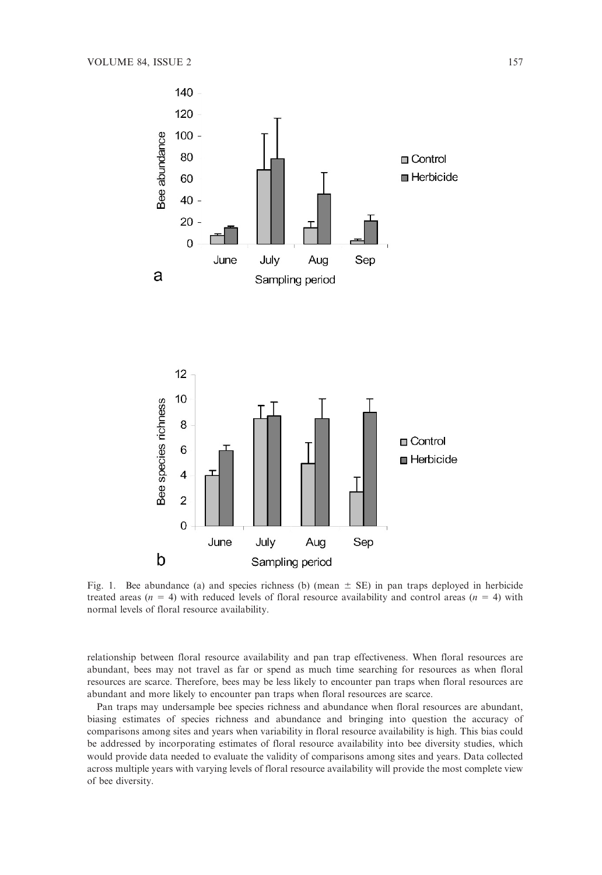

Fig. 1. Bee abundance (a) and species richness (b) (mean  $\pm$  SE) in pan traps deployed in herbicide treated areas ( $n = 4$ ) with reduced levels of floral resource availability and control areas ( $n = 4$ ) with normal levels of floral resource availability.

relationship between floral resource availability and pan trap effectiveness. When floral resources are abundant, bees may not travel as far or spend as much time searching for resources as when floral resources are scarce. Therefore, bees may be less likely to encounter pan traps when floral resources are abundant and more likely to encounter pan traps when floral resources are scarce.

Pan traps may undersample bee species richness and abundance when floral resources are abundant, biasing estimates of species richness and abundance and bringing into question the accuracy of comparisons among sites and years when variability in floral resource availability is high. This bias could be addressed by incorporating estimates of floral resource availability into bee diversity studies, which would provide data needed to evaluate the validity of comparisons among sites and years. Data collected across multiple years with varying levels of floral resource availability will provide the most complete view of bee diversity.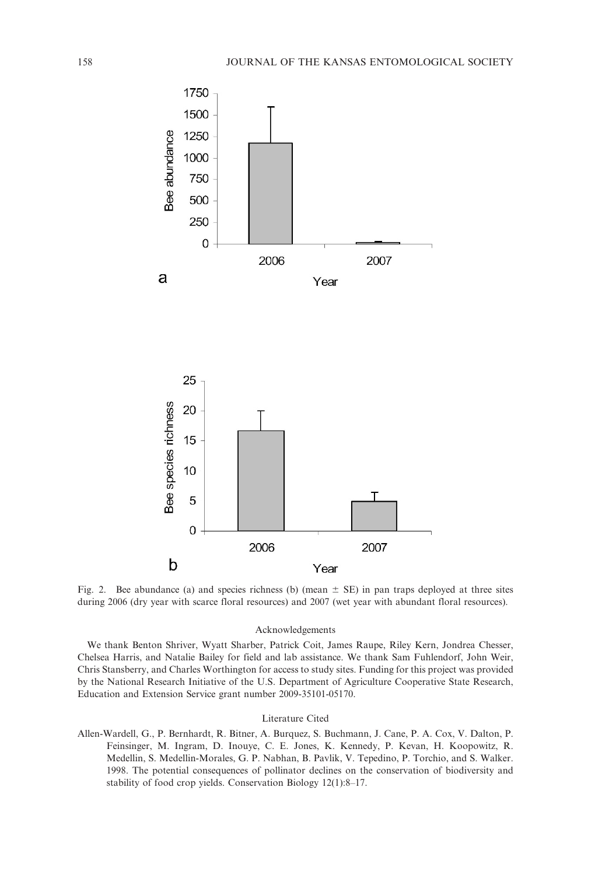

Fig. 2. Bee abundance (a) and species richness (b) (mean  $\pm$  SE) in pan traps deployed at three sites during 2006 (dry year with scarce floral resources) and 2007 (wet year with abundant floral resources).

## Acknowledgements

We thank Benton Shriver, Wyatt Sharber, Patrick Coit, James Raupe, Riley Kern, Jondrea Chesser, Chelsea Harris, and Natalie Bailey for field and lab assistance. We thank Sam Fuhlendorf, John Weir, Chris Stansberry, and Charles Worthington for access to study sites. Funding for this project was provided by the National Research Initiative of the U.S. Department of Agriculture Cooperative State Research, Education and Extension Service grant number 2009-35101-05170.

#### Literature Cited

Allen-Wardell, G., P. Bernhardt, R. Bitner, A. Burquez, S. Buchmann, J. Cane, P. A. Cox, V. Dalton, P. Feinsinger, M. Ingram, D. Inouye, C. E. Jones, K. Kennedy, P. Kevan, H. Koopowitz, R. Medellin, S. Medellin-Morales, G. P. Nabhan, B. Pavlik, V. Tepedino, P. Torchio, and S. Walker. 1998. The potential consequences of pollinator declines on the conservation of biodiversity and stability of food crop yields. Conservation Biology 12(1):8–17.